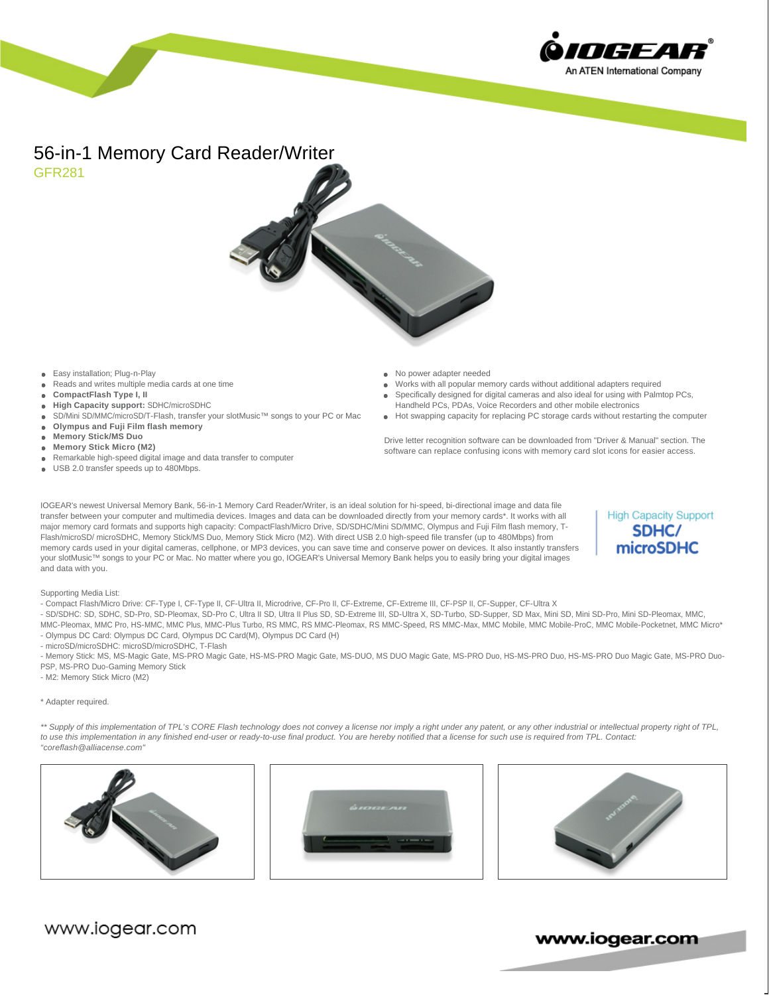

# 56-in-1 Memory Card Reader/Writer GFR281



- Easy installation; Plug-n-Play
- Reads and writes multiple media cards at one time
- **CompactFlash Type I, II**
- **High Capacity support:** SDHC/microSDHC
- SD/Mini SD/MMC/microSD/T-Flash, transfer your slotMusic™ songs to your PC or Mac
- **Olympus and Fuji Film flash memory**
- **Memory Stick/MS Duo**
- **Memory Stick Micro (M2)**
- Remarkable high-speed digital image and data transfer to computer
- USB 2.0 transfer speeds up to 480Mbps.
- No power adapter needed
- Works with all popular memory cards without additional adapters required Specifically designed for digital cameras and also ideal for using with Palmtop PCs,
- Handheld PCs, PDAs, Voice Recorders and other mobile electronics ● Hot swapping capacity for replacing PC storage cards without restarting the computer

Drive letter recognition software can be downloaded from "Driver & Manual" section. The software can replace confusing icons with memory card slot icons for easier access.

IOGEAR's newest Universal Memory Bank, 56-in-1 Memory Card Reader/Writer, is an ideal solution for hi-speed, bi-directional image and data file transfer between your computer and multimedia devices. Images and data can be downloaded directly from your memory cards\*. It works with all major memory card formats and supports high capacity: CompactFlash/Micro Drive, SD/SDHC/Mini SD/MMC, Olympus and Fuji Film flash memory, T-Flash/microSD/ microSDHC, Memory Stick/MS Duo, Memory Stick Micro (M2). With direct USB 2.0 high-speed file transfer (up to 480Mbps) from memory cards used in your digital cameras, cellphone, or MP3 devices, you can save time and conserve power on devices. It also instantly transfers your slotMusic™ songs to your PC or Mac. No matter where you go, IOGEAR's Universal Memory Bank helps you to easily bring your digital images and data with you.

**High Capacity Support** SDHC/ microSDHC

# Supporting Media List:

- Compact Flash/Micro Drive: CF-Type I, CF-Type II, CF-Ultra II, Microdrive, CF-Pro II, CF-Extreme, CF-Extreme III, CF-PSP II, CF-Supper, CF-Ultra X

- SD/SDHC: SD, SDHC, SD-Pro, SD-Pleomax, SD-Pro C, Ultra II SD, Ultra II Plus SD, SD-Extreme III, SD-Ultra X, SD-Turbo, SD-Supper, SD Max, Mini SD, Mini SD-Pro, Mini SD-Pleomax, MMC,

MMC-Pleomax, MMC Pro, HS-MMC, MMC Plus, MMC-Plus Turbo, RS MMC, RS MMC-Pleomax, RS MMC-Speed, RS MMC-Max, MMC Mobile, MMC Mobile-ProC, MMC Mobile-Pocketnet, MMC Micro\* - Olympus DC Card: Olympus DC Card, Olympus DC Card(M), Olympus DC Card (H)

- microSD/microSDHC: microSD/microSDHC, T-Flash

- Memory Stick: MS, MS-Magic Gate, MS-PRO Magic Gate, HS-MS-PRO Magic Gate, MS-DUO, MS DUO Magic Gate, MS-PRO Duo, HS-MS-PRO Duo, HS-MS-PRO Duo Magic Gate, MS-PRO Duo-PSP, MS-PRO Duo-Gaming Memory Stick

- M2: Memory Stick Micro (M2)

#### \* Adapter required.

\*\* Supply of this implementation of TPL's CORE Flash technology does not convey a license nor imply a right under any patent, or any other industrial or intellectual property right of TPL, to use this implementation in any finished end-user or ready-to-use final product. You are hereby notified that a license for such use is required from TPL. Contact: "coreflash@alliacense.com"







www.iogear.com

www.iogear.com